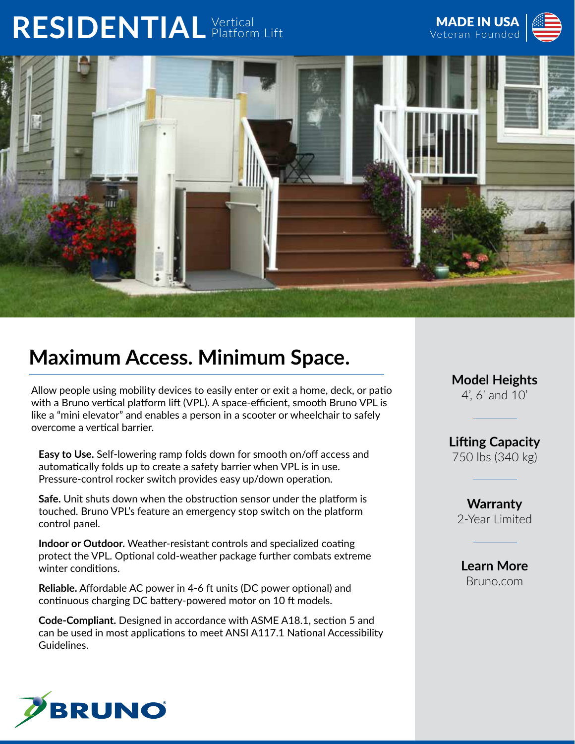## RESIDENTIAL Vertical





## **Maximum Access. Minimum Space.**

Allow people using mobility devices to easily enter or exit a home, deck, or patio with a Bruno vertical platform lift (VPL). A space-efficient, smooth Bruno VPL is like a "mini elevator" and enables a person in a scooter or wheelchair to safely overcome a vertical barrier.

**Easy to Use.** Self-lowering ramp folds down for smooth on/off access and automatically folds up to create a safety barrier when VPL is in use. Pressure-control rocker switch provides easy up/down operation.

**Safe.** Unit shuts down when the obstruction sensor under the platform is touched. Bruno VPL's feature an emergency stop switch on the platform control panel.

**Indoor or Outdoor.** Weather-resistant controls and specialized coating protect the VPL. Optional cold-weather package further combats extreme winter conditions.

**Reliable.** Affordable AC power in 4-6 ft units (DC power optional) and continuous charging DC battery-powered motor on 10 ft models.

**Code-Compliant.** Designed in accordance with ASME A18.1, section 5 and can be used in most applications to meet ANSI A117.1 National Accessibility Guidelines.



**Model Heights** 4', 6' and 10'

**Lifting Capacity** 750 lbs (340 kg)

**Warranty** 2-Year Limited

**Learn More** Bruno.com